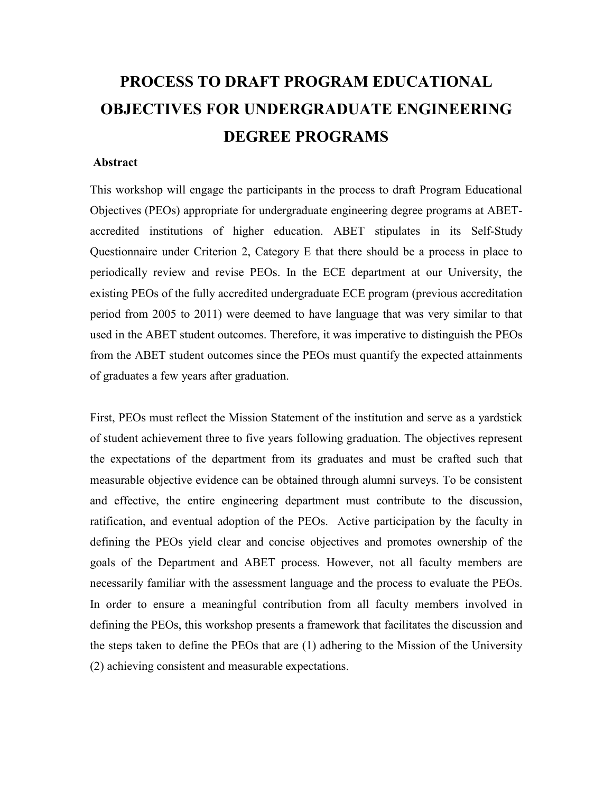## **PROCESS TO DRAFT PROGRAM EDUCATIONAL OBJECTIVES FOR UNDERGRADUATE ENGINEERING DEGREE PROGRAMS**

## **Abstract**

This workshop will engage the participants in the process to draft Program Educational Objectives (PEOs) appropriate for undergraduate engineering degree programs at ABETaccredited institutions of higher education. ABET stipulates in its Self-Study Questionnaire under Criterion 2, Category E that there should be a process in place to periodically review and revise PEOs. In the ECE department at our University, the existing PEOs of the fully accredited undergraduate ECE program (previous accreditation period from 2005 to 2011) were deemed to have language that was very similar to that used in the ABET student outcomes. Therefore, it was imperative to distinguish the PEOs from the ABET student outcomes since the PEOs must quantify the expected attainments of graduates a few years after graduation.

First, PEOs must reflect the Mission Statement of the institution and serve as a yardstick of student achievement three to five years following graduation. The objectives represent the expectations of the department from its graduates and must be crafted such that measurable objective evidence can be obtained through alumni surveys. To be consistent and effective, the entire engineering department must contribute to the discussion, ratification, and eventual adoption of the PEOs. Active participation by the faculty in defining the PEOs yield clear and concise objectives and promotes ownership of the goals of the Department and ABET process. However, not all faculty members are necessarily familiar with the assessment language and the process to evaluate the PEOs. In order to ensure a meaningful contribution from all faculty members involved in defining the PEOs, this workshop presents a framework that facilitates the discussion and the steps taken to define the PEOs that are (1) adhering to the Mission of the University (2) achieving consistent and measurable expectations.